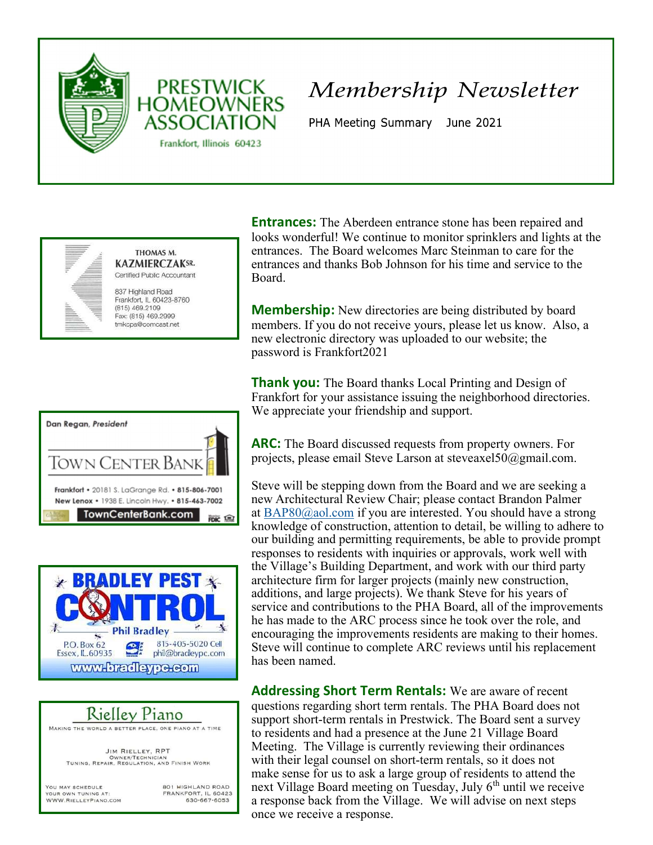



PHA Meeting Summary June 2021



THOMAS M. **KAZMIERCZAKSR.** Certified Public Accountant

**PRESTWICK** 

**ASSOCIATION** 

Frankfort, Illinois 60423

837 Highland Road Frankfort, IL 60423-8760  $(815)$  469.2109 Fax: (815) 469.2999 tmkcpa@comcast.net





## Rielley Piano

MAKING THE WORLD A BETTER PLACE, ONE PIANO AT A TIME

JIM RIELLEY, RPT OWNER/TECHNICIAN<br>TUNING, REPAIR, REGULATION, AND FINISH WORK

YOU MAY SCHEDULE YOUR OWN TUNING AT: WWW.RIELLEYPIANO.COM 801 HIGHLAND ROAD FRANKFORT, IL 60423 630-667-6053

**Entrances:** The Aberdeen entrance stone has been repaired and looks wonderful! We continue to monitor sprinklers and lights at the entrances. The Board welcomes Marc Steinman to care for the entrances and thanks Bob Johnson for his time and service to the Board.

**Membership:** New directories are being distributed by board members. If you do not receive yours, please let us know. Also, a new electronic directory was uploaded to our website; the password is Frankfort2021

**Thank you:** The Board thanks Local Printing and Design of Frankfort for your assistance issuing the neighborhood directories. We appreciate your friendship and support.

ARC: The Board discussed requests from property owners. For projects, please email Steve Larson at steveaxel50@gmail.com.

Steve will be stepping down from the Board and we are seeking a new Architectural Review Chair; please contact Brandon Palmer at BAP80@aol.com if you are interested. You should have a strong knowledge of construction, attention to detail, be willing to adhere to our building and permitting requirements, be able to provide prompt responses to residents with inquiries or approvals, work well with the Village's Building Department, and work with our third party architecture firm for larger projects (mainly new construction, additions, and large projects). We thank Steve for his years of service and contributions to the PHA Board, all of the improvements he has made to the ARC process since he took over the role, and encouraging the improvements residents are making to their homes. Steve will continue to complete ARC reviews until his replacement has been named.

Addressing Short Term Rentals: We are aware of recent questions regarding short term rentals. The PHA Board does not support short-term rentals in Prestwick. The Board sent a survey to residents and had a presence at the June 21 Village Board Meeting. The Village is currently reviewing their ordinances with their legal counsel on short-term rentals, so it does not make sense for us to ask a large group of residents to attend the next Village Board meeting on Tuesday, July 6<sup>th</sup> until we receive a response back from the Village. We will advise on next steps once we receive a response.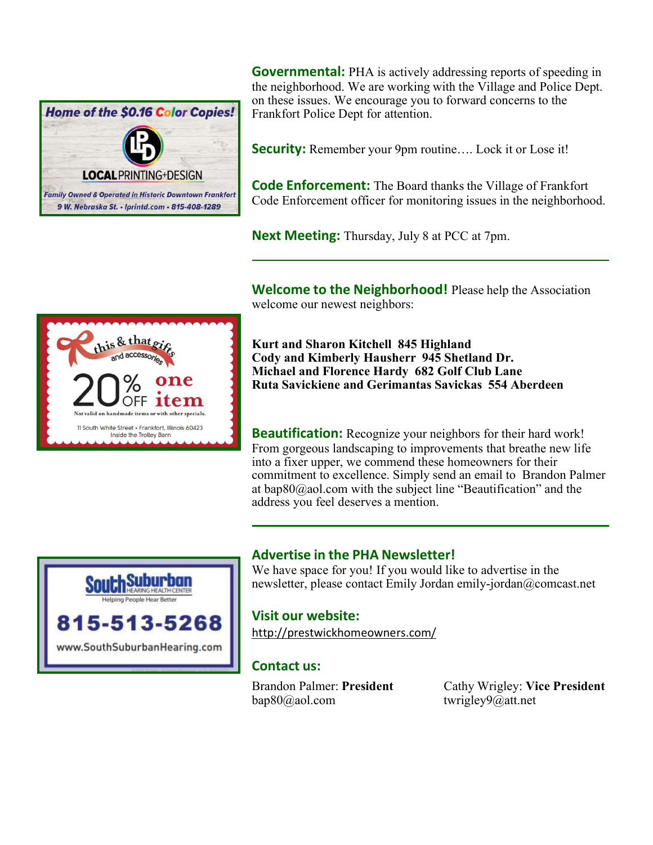

**Governmental:** PHA is actively addressing reports of speeding in the neighborhood. We are working with the Village and Police Dept. on these issues. We encourage you to forward concerns to the Frankfort Police Dept for attention.

**Security:** Remember your 9pm routine.... Lock it or Lose it!

**Code Enforcement:** The Board thanks the Village of Frankfort Code Enforcement officer for monitoring issues in the neighborhood.

Next Meeting: Thursday, July 8 at PCC at 7pm.

**Welcome to the Neighborhood!** Please help the Association welcome our newest neighbors:



Kurt and Sharon Kitchell 845 Highland Cody and Kimberly Hausherr 945 Shetland Dr. Michael and Florence Hardy 682 Golf Club Lane Ruta Savickiene and Gerimantas Savickas 554 Aberdeen

**Beautification:** Recognize your neighbors for their hard work! From gorgeous landscaping to improvements that breathe new life into a fixer upper, we commend these homeowners for their commitment to excellence. Simply send an email to Brandon Palmer at bap80@aol.com with the subject line "Beautification" and the address you feel deserves a mention.



#### Advertise in the PHA Newsletter!

We have space for you! If you would like to advertise in the newsletter, please contact Emily Jordan emily-jordan@comcast.net

#### Visit our website:

http://prestwickhomeowners.com/

#### Contact us:

bap80@aol.com twrigley9@att.net

Brandon Palmer: President Cathy Wrigley: Vice President